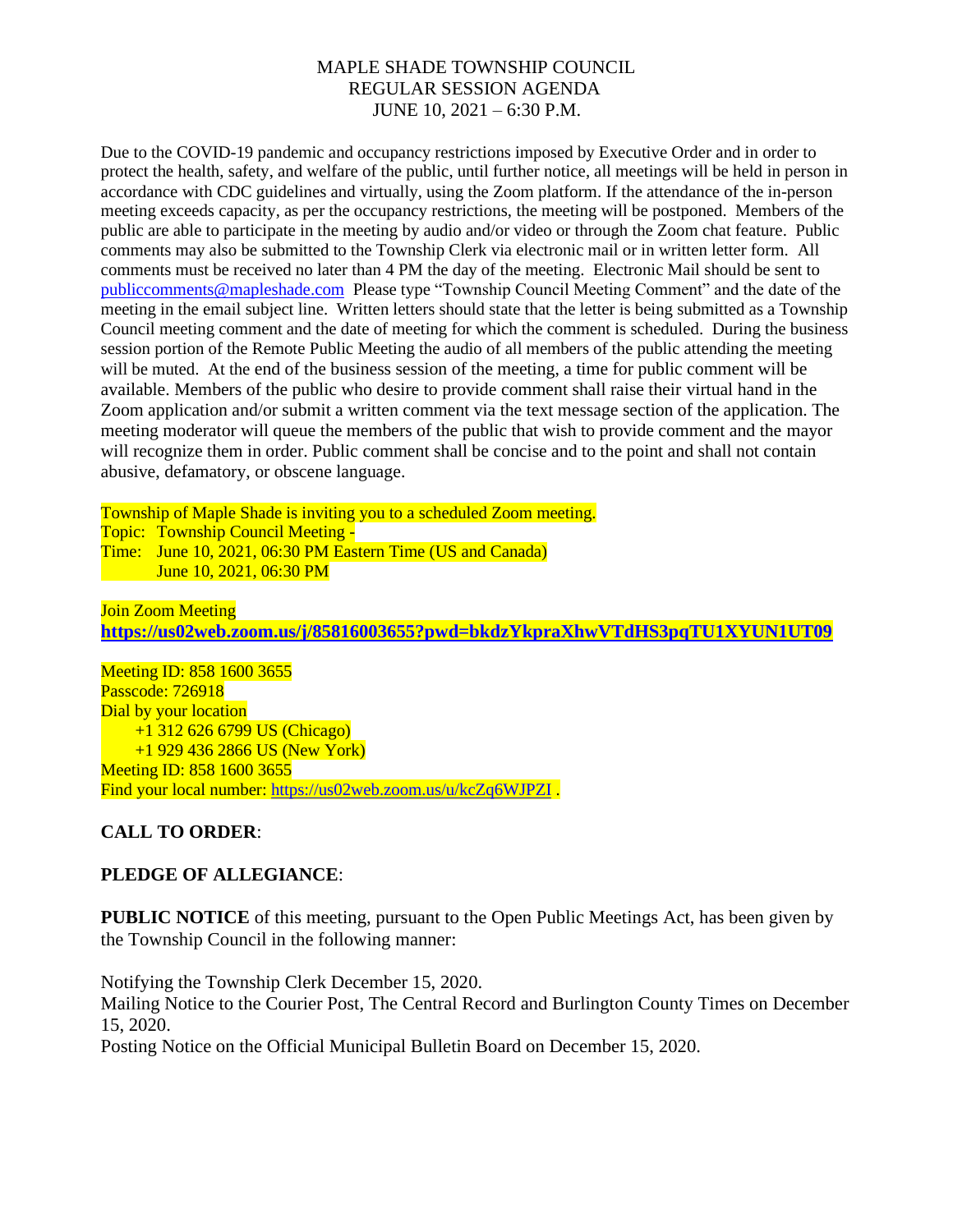Due to the COVID-19 pandemic and occupancy restrictions imposed by Executive Order and in order to protect the health, safety, and welfare of the public, until further notice, all meetings will be held in person in accordance with CDC guidelines and virtually, using the Zoom platform. If the attendance of the in-person meeting exceeds capacity, as per the occupancy restrictions, the meeting will be postponed. Members of the public are able to participate in the meeting by audio and/or video or through the Zoom chat feature. Public comments may also be submitted to the Township Clerk via electronic mail or in written letter form. All comments must be received no later than 4 PM the day of the meeting. Electronic Mail should be sent to [publiccomments@mapleshade.com](mailto:publiccomments@mapleshade.com) Please type "Township Council Meeting Comment" and the date of the meeting in the email subject line. Written letters should state that the letter is being submitted as a Township Council meeting comment and the date of meeting for which the comment is scheduled. During the business session portion of the Remote Public Meeting the audio of all members of the public attending the meeting will be muted. At the end of the business session of the meeting, a time for public comment will be available. Members of the public who desire to provide comment shall raise their virtual hand in the Zoom application and/or submit a written comment via the text message section of the application. The meeting moderator will queue the members of the public that wish to provide comment and the mayor will recognize them in order. Public comment shall be concise and to the point and shall not contain abusive, defamatory, or obscene language.

Township of Maple Shade is inviting you to a scheduled Zoom meeting. Topic: Township Council Meeting - Time: June 10, 2021, 06:30 PM Eastern Time (US and Canada) June 10, 2021, 06:30 PM

Join Zoom Meeting **<https://us02web.zoom.us/j/85816003655?pwd=bkdzYkpraXhwVTdHS3pqTU1XYUN1UT09>**

Meeting ID: 858 1600 3655 Passcode: 726918 Dial by your location +1 312 626 6799 US (Chicago) +1 929 436 2866 US (New York) Meeting ID: 858 1600 3655 Find your local number:<https://us02web.zoom.us/u/kcZq6WJPZI> .

## **CALL TO ORDER**:

## **PLEDGE OF ALLEGIANCE**:

**PUBLIC NOTICE** of this meeting, pursuant to the Open Public Meetings Act, has been given by the Township Council in the following manner:

Notifying the Township Clerk December 15, 2020.

Mailing Notice to the Courier Post, The Central Record and Burlington County Times on December 15, 2020.

Posting Notice on the Official Municipal Bulletin Board on December 15, 2020.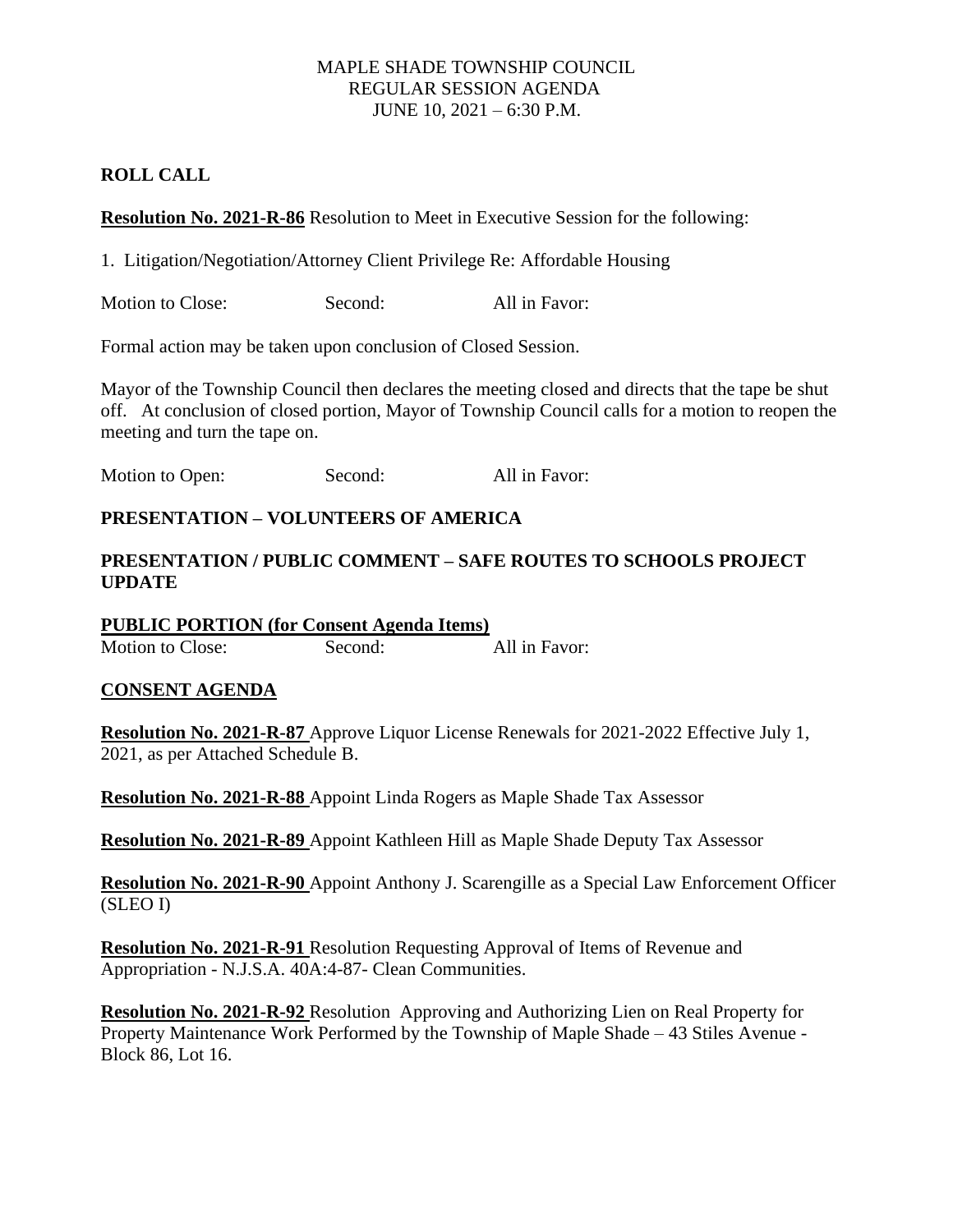## **ROLL CALL**

**Resolution No. 2021-R-86** Resolution to Meet in Executive Session for the following:

1. Litigation/Negotiation/Attorney Client Privilege Re: Affordable Housing

Motion to Close: Second: All in Favor:

Formal action may be taken upon conclusion of Closed Session.

Mayor of the Township Council then declares the meeting closed and directs that the tape be shut off. At conclusion of closed portion, Mayor of Township Council calls for a motion to reopen the meeting and turn the tape on.

Motion to Open: Second: All in Favor:

# **PRESENTATION – VOLUNTEERS OF AMERICA**

# **PRESENTATION / PUBLIC COMMENT – SAFE ROUTES TO SCHOOLS PROJECT UPDATE**

**PUBLIC PORTION (for Consent Agenda Items)** Motion to Close: Second: All in Favor:

## **CONSENT AGENDA**

**Resolution No. 2021-R-87** Approve Liquor License Renewals for 2021-2022 Effective July 1, 2021, as per Attached Schedule B.

**Resolution No. 2021-R-88** Appoint Linda Rogers as Maple Shade Tax Assessor

**Resolution No. 2021-R-89** Appoint Kathleen Hill as Maple Shade Deputy Tax Assessor

**Resolution No. 2021-R-90** Appoint Anthony J. Scarengille as a Special Law Enforcement Officer (SLEO I)

**Resolution No. 2021-R-91** Resolution Requesting Approval of Items of Revenue and Appropriation - N.J.S.A. 40A:4-87- Clean Communities.

**Resolution No. 2021-R-92** Resolution Approving and Authorizing Lien on Real Property for Property Maintenance Work Performed by the Township of Maple Shade – 43 Stiles Avenue - Block 86, Lot 16.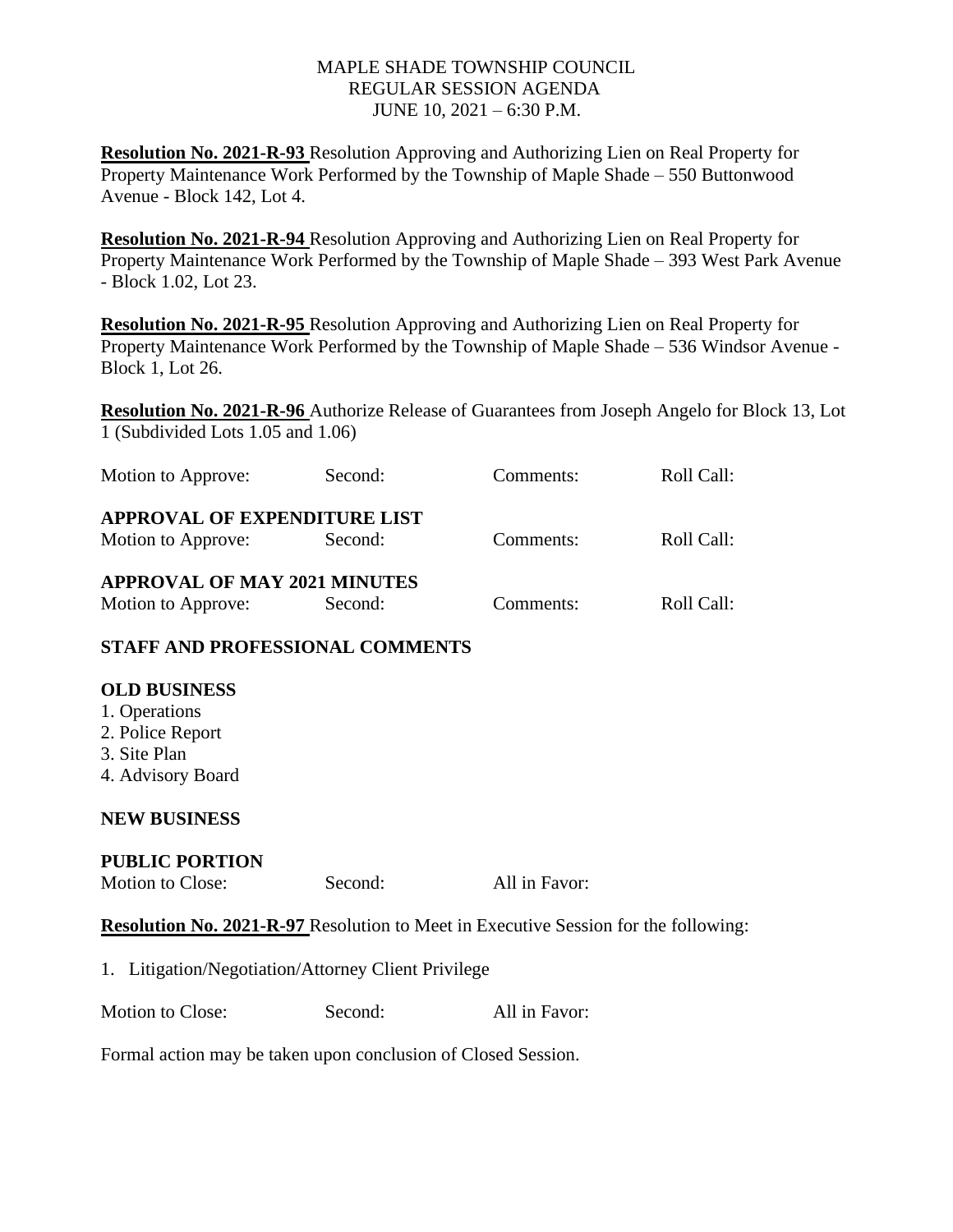**Resolution No. 2021-R-93** Resolution Approving and Authorizing Lien on Real Property for Property Maintenance Work Performed by the Township of Maple Shade – 550 Buttonwood Avenue - Block 142, Lot 4.

**Resolution No. 2021-R-94** Resolution Approving and Authorizing Lien on Real Property for Property Maintenance Work Performed by the Township of Maple Shade – 393 West Park Avenue - Block 1.02, Lot 23.

**Resolution No. 2021-R-95** Resolution Approving and Authorizing Lien on Real Property for Property Maintenance Work Performed by the Township of Maple Shade – 536 Windsor Avenue - Block 1, Lot 26.

**Resolution No. 2021-R-96** Authorize Release of Guarantees from Joseph Angelo for Block 13, Lot 1 (Subdivided Lots 1.05 and 1.06)

| Motion to Approve:                  | Second: | Comments: | Roll Call: |  |
|-------------------------------------|---------|-----------|------------|--|
| <b>APPROVAL OF EXPENDITURE LIST</b> |         |           |            |  |
| Motion to Approve:                  | Second: | Comments: | Roll Call: |  |
| <b>APPROVAL OF MAY 2021 MINUTES</b> |         |           |            |  |
| Motion to Approve:                  | Second: | Comments: | Roll Call: |  |

## **STAFF AND PROFESSIONAL COMMENTS**

## **OLD BUSINESS**

- 1. Operations
- 2. Police Report
- 3. Site Plan
- 4. Advisory Board

## **NEW BUSINESS**

#### **PUBLIC PORTION**

Motion to Close: Second: All in Favor:

**Resolution No. 2021-R-97** Resolution to Meet in Executive Session for the following:

| 1. Litigation/Negotiation/Attorney Client Privilege |  |
|-----------------------------------------------------|--|
|                                                     |  |

Motion to Close: Second: All in Favor:

Formal action may be taken upon conclusion of Closed Session.